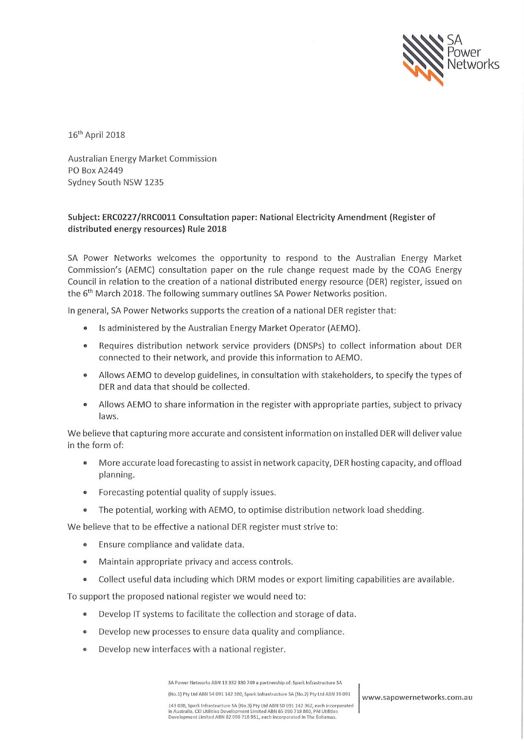

16<sup>th</sup> April 2018

Australian Energy Market Commission PO Box A2449 Sydney South NSW 1235

## Subject: ERC0227/RRC0011 Consultation paper: National Electricity Amendment (Register of distributed energy resources) Rule 2018

SA Power Networks welcomes the opportunity to respond to the Australian Energy Market Commission's (AEMC) consultation paper on the rule change request made by the COAG Energy Council in relation to the creation of a national distributed energy resource (DER) register, issued on the 6<sup>th</sup> March 2018. The following summary outlines SA Power Networks position.

In general, SA Power Networks supports the creation of a national DER register that:

- Is administered by the Australian Energy Market Operator (AEMO).
- Requires distribution network service providers (DNSPs) to collect information about DER connected to their network, and provide this information to AEMO.
- Allows AEMO to develop guidelines, in consultation with stakeholders, to specify the types of DER and data that should be collected.
- Allows AEMO to share information in the register with appropriate parties, subject to privacy laws.

We believe that capturing more accurate and consistent information on installed DER will deliver value in the form of:

- More accurate load forecasting to assist in network capacity, DER hosting capacity, and offload  $\bullet$ planning.
- Forecasting potential quality of supply issues.  $\bullet$
- The potential, working with AEMO, to optimise distribution network load shedding.  $\bullet$

We believe that to be effective a national DER register must strive to:

- Ensure compliance and validate data.  $\bullet$
- Maintain appropriate privacy and access controls.  $\bullet$
- Collect useful data including which DRM modes or export limiting capabilities are available.  $\bullet$

To support the proposed national register we would need to:

- Develop IT systems to facilitate the collection and storage of data.  $\bullet$
- Develop new processes to ensure data quality and compliance.  $\bullet$
- Develop new interfaces with a national register.

SA Power Networks ABN 13 332 330 749 a partnership of: Spark Infrastructure SA

(No.1) Pty Ltd ABN 54 091 142 380, Spark Infrastructure SA (No.2) Pty Ltd ABN 19 091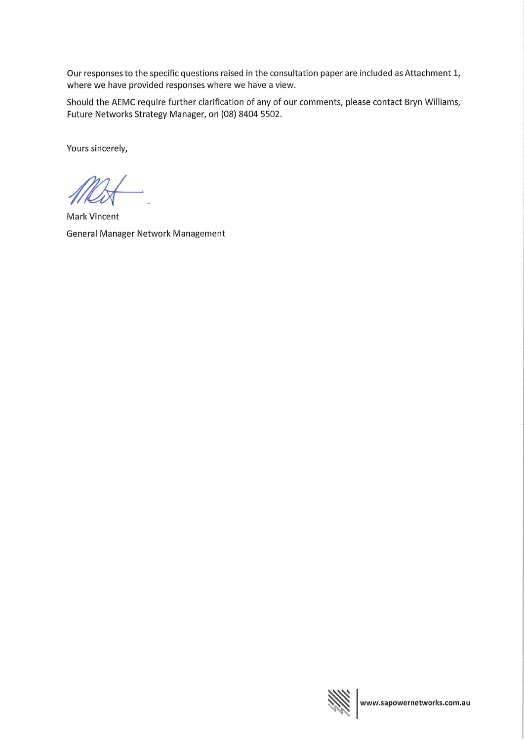Our responses to the specific questions raised in the consultation paper are included as Attachment 1, where we have provided responses where we have a view.

Should the AEMC require further clarification of any of our comments, please contact Bryn Williams, Future Networks Strategy Manager, on (08) 8404 5502.

Yours sincerely,

Mark Vincent General Manager Network Management

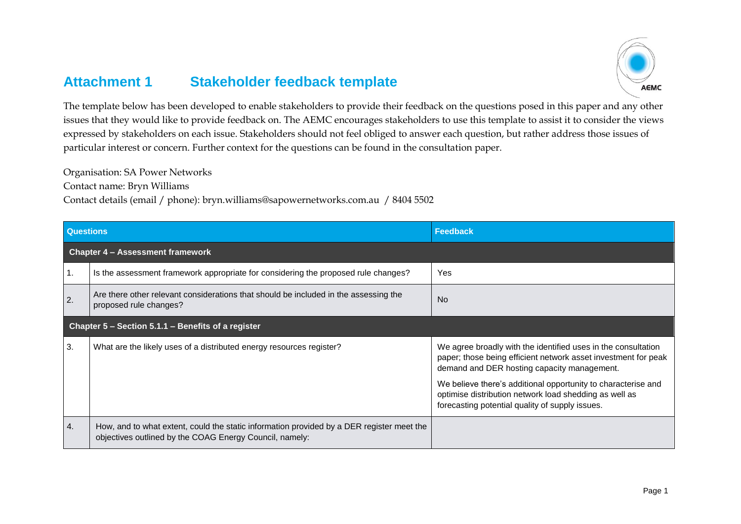## **Attachment 1 Stakeholder feedback template**



The template below has been developed to enable stakeholders to provide their feedback on the questions posed in this paper and any other issues that they would like to provide feedback on. The AEMC encourages stakeholders to use this template to assist it to consider the views expressed by stakeholders on each issue. Stakeholders should not feel obliged to answer each question, but rather address those issues of particular interest or concern. Further context for the questions can be found in the consultation paper.

Organisation: SA Power Networks

Contact name: Bryn Williams

Contact details (email / phone): bryn.williams@sapowernetworks.com.au / 8404 5502

| <b>Questions</b>                                   |                                                                                                                                                      | <b>Feedback</b>                                                                                                                                                                                                                                                                                                                                              |
|----------------------------------------------------|------------------------------------------------------------------------------------------------------------------------------------------------------|--------------------------------------------------------------------------------------------------------------------------------------------------------------------------------------------------------------------------------------------------------------------------------------------------------------------------------------------------------------|
| <b>Chapter 4 - Assessment framework</b>            |                                                                                                                                                      |                                                                                                                                                                                                                                                                                                                                                              |
| Ί.                                                 | Is the assessment framework appropriate for considering the proposed rule changes?                                                                   | Yes                                                                                                                                                                                                                                                                                                                                                          |
| 2.                                                 | Are there other relevant considerations that should be included in the assessing the<br>proposed rule changes?                                       | <b>No</b>                                                                                                                                                                                                                                                                                                                                                    |
| Chapter 5 - Section 5.1.1 - Benefits of a register |                                                                                                                                                      |                                                                                                                                                                                                                                                                                                                                                              |
| 3.                                                 | What are the likely uses of a distributed energy resources register?                                                                                 | We agree broadly with the identified uses in the consultation<br>paper; those being efficient network asset investment for peak<br>demand and DER hosting capacity management.<br>We believe there's additional opportunity to characterise and<br>optimise distribution network load shedding as well as<br>forecasting potential quality of supply issues. |
| 4.                                                 | How, and to what extent, could the static information provided by a DER register meet the<br>objectives outlined by the COAG Energy Council, namely: |                                                                                                                                                                                                                                                                                                                                                              |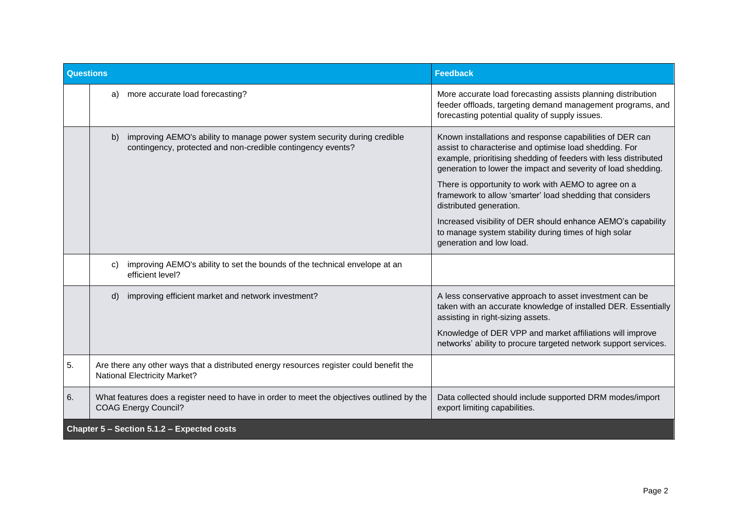| <b>Questions</b>                           |                                                                                                                                               | <b>Feedback</b>                                                                                                                                                                                                                                                                                                                                                                                        |
|--------------------------------------------|-----------------------------------------------------------------------------------------------------------------------------------------------|--------------------------------------------------------------------------------------------------------------------------------------------------------------------------------------------------------------------------------------------------------------------------------------------------------------------------------------------------------------------------------------------------------|
|                                            | more accurate load forecasting?<br>a)                                                                                                         | More accurate load forecasting assists planning distribution<br>feeder offloads, targeting demand management programs, and<br>forecasting potential quality of supply issues.                                                                                                                                                                                                                          |
|                                            | improving AEMO's ability to manage power system security during credible<br>b)<br>contingency, protected and non-credible contingency events? | Known installations and response capabilities of DER can<br>assist to characterise and optimise load shedding. For<br>example, prioritising shedding of feeders with less distributed<br>generation to lower the impact and severity of load shedding.<br>There is opportunity to work with AEMO to agree on a<br>framework to allow 'smarter' load shedding that considers<br>distributed generation. |
|                                            |                                                                                                                                               | Increased visibility of DER should enhance AEMO's capability<br>to manage system stability during times of high solar<br>generation and low load.                                                                                                                                                                                                                                                      |
|                                            | improving AEMO's ability to set the bounds of the technical envelope at an<br>C)<br>efficient level?                                          |                                                                                                                                                                                                                                                                                                                                                                                                        |
|                                            | improving efficient market and network investment?<br>$\mathsf{d}$                                                                            | A less conservative approach to asset investment can be<br>taken with an accurate knowledge of installed DER. Essentially<br>assisting in right-sizing assets.                                                                                                                                                                                                                                         |
|                                            |                                                                                                                                               | Knowledge of DER VPP and market affiliations will improve<br>networks' ability to procure targeted network support services.                                                                                                                                                                                                                                                                           |
| 5.                                         | Are there any other ways that a distributed energy resources register could benefit the<br><b>National Electricity Market?</b>                |                                                                                                                                                                                                                                                                                                                                                                                                        |
| 6.                                         | What features does a register need to have in order to meet the objectives outlined by the<br><b>COAG Energy Council?</b>                     | Data collected should include supported DRM modes/import<br>export limiting capabilities.                                                                                                                                                                                                                                                                                                              |
| Chapter 5 - Section 5.1.2 - Expected costs |                                                                                                                                               |                                                                                                                                                                                                                                                                                                                                                                                                        |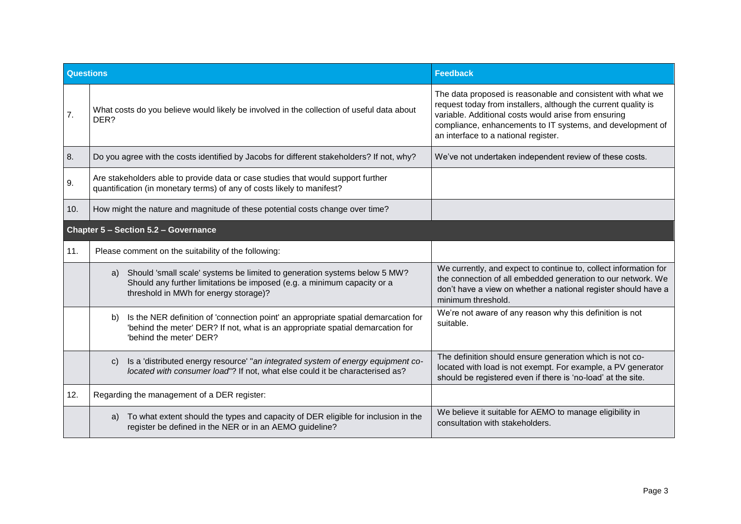| <b>Questions</b>                     |                                                                                                                                                                                                       | <b>Feedback</b>                                                                                                                                                                                                                                                                             |
|--------------------------------------|-------------------------------------------------------------------------------------------------------------------------------------------------------------------------------------------------------|---------------------------------------------------------------------------------------------------------------------------------------------------------------------------------------------------------------------------------------------------------------------------------------------|
| 7.                                   | What costs do you believe would likely be involved in the collection of useful data about<br>DER?                                                                                                     | The data proposed is reasonable and consistent with what we<br>request today from installers, although the current quality is<br>variable. Additional costs would arise from ensuring<br>compliance, enhancements to IT systems, and development of<br>an interface to a national register. |
| 8.                                   | Do you agree with the costs identified by Jacobs for different stakeholders? If not, why?                                                                                                             | We've not undertaken independent review of these costs.                                                                                                                                                                                                                                     |
| 9.                                   | Are stakeholders able to provide data or case studies that would support further<br>quantification (in monetary terms) of any of costs likely to manifest?                                            |                                                                                                                                                                                                                                                                                             |
| 10.                                  | How might the nature and magnitude of these potential costs change over time?                                                                                                                         |                                                                                                                                                                                                                                                                                             |
| Chapter 5 - Section 5.2 - Governance |                                                                                                                                                                                                       |                                                                                                                                                                                                                                                                                             |
| 11.                                  | Please comment on the suitability of the following:                                                                                                                                                   |                                                                                                                                                                                                                                                                                             |
|                                      | Should 'small scale' systems be limited to generation systems below 5 MW?<br>a)<br>Should any further limitations be imposed (e.g. a minimum capacity or a<br>threshold in MWh for energy storage)?   | We currently, and expect to continue to, collect information for<br>the connection of all embedded generation to our network. We<br>don't have a view on whether a national register should have a<br>minimum threshold.                                                                    |
|                                      | Is the NER definition of 'connection point' an appropriate spatial demarcation for<br>b)<br>'behind the meter' DER? If not, what is an appropriate spatial demarcation for<br>'behind the meter' DER? | We're not aware of any reason why this definition is not<br>suitable.                                                                                                                                                                                                                       |
|                                      | Is a 'distributed energy resource' "an integrated system of energy equipment co-<br>C)<br>located with consumer load"? If not, what else could it be characterised as?                                | The definition should ensure generation which is not co-<br>located with load is not exempt. For example, a PV generator<br>should be registered even if there is 'no-load' at the site.                                                                                                    |
| 12.                                  | Regarding the management of a DER register:                                                                                                                                                           |                                                                                                                                                                                                                                                                                             |
|                                      | To what extent should the types and capacity of DER eligible for inclusion in the<br>a)<br>register be defined in the NER or in an AEMO guideline?                                                    | We believe it suitable for AEMO to manage eligibility in<br>consultation with stakeholders.                                                                                                                                                                                                 |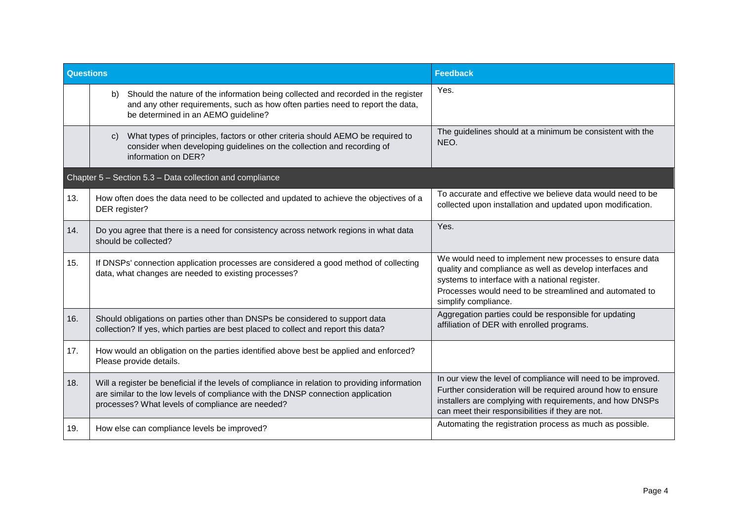| Questions |                                                                                                                                                                                                                                        | <b>Feedback</b>                                                                                                                                                                                                                                          |
|-----------|----------------------------------------------------------------------------------------------------------------------------------------------------------------------------------------------------------------------------------------|----------------------------------------------------------------------------------------------------------------------------------------------------------------------------------------------------------------------------------------------------------|
|           | Should the nature of the information being collected and recorded in the register<br>b)<br>and any other requirements, such as how often parties need to report the data,<br>be determined in an AEMO guideline?                       | Yes.                                                                                                                                                                                                                                                     |
|           | What types of principles, factors or other criteria should AEMO be required to<br>C)<br>consider when developing guidelines on the collection and recording of<br>information on DER?                                                  | The guidelines should at a minimum be consistent with the<br>NEO.                                                                                                                                                                                        |
|           | Chapter 5 - Section 5.3 - Data collection and compliance                                                                                                                                                                               |                                                                                                                                                                                                                                                          |
| 13.       | How often does the data need to be collected and updated to achieve the objectives of a<br>DER register?                                                                                                                               | To accurate and effective we believe data would need to be<br>collected upon installation and updated upon modification.                                                                                                                                 |
| 14.       | Do you agree that there is a need for consistency across network regions in what data<br>should be collected?                                                                                                                          | Yes.                                                                                                                                                                                                                                                     |
| 15.       | If DNSPs' connection application processes are considered a good method of collecting<br>data, what changes are needed to existing processes?                                                                                          | We would need to implement new processes to ensure data<br>quality and compliance as well as develop interfaces and<br>systems to interface with a national register.<br>Processes would need to be streamlined and automated to<br>simplify compliance. |
| 16.       | Should obligations on parties other than DNSPs be considered to support data<br>collection? If yes, which parties are best placed to collect and report this data?                                                                     | Aggregation parties could be responsible for updating<br>affiliation of DER with enrolled programs.                                                                                                                                                      |
| 17.       | How would an obligation on the parties identified above best be applied and enforced?<br>Please provide details.                                                                                                                       |                                                                                                                                                                                                                                                          |
| 18.       | Will a register be beneficial if the levels of compliance in relation to providing information<br>are similar to the low levels of compliance with the DNSP connection application<br>processes? What levels of compliance are needed? | In our view the level of compliance will need to be improved.<br>Further consideration will be required around how to ensure<br>installers are complying with requirements, and how DNSPs<br>can meet their responsibilities if they are not.            |
| 19.       | How else can compliance levels be improved?                                                                                                                                                                                            | Automating the registration process as much as possible.                                                                                                                                                                                                 |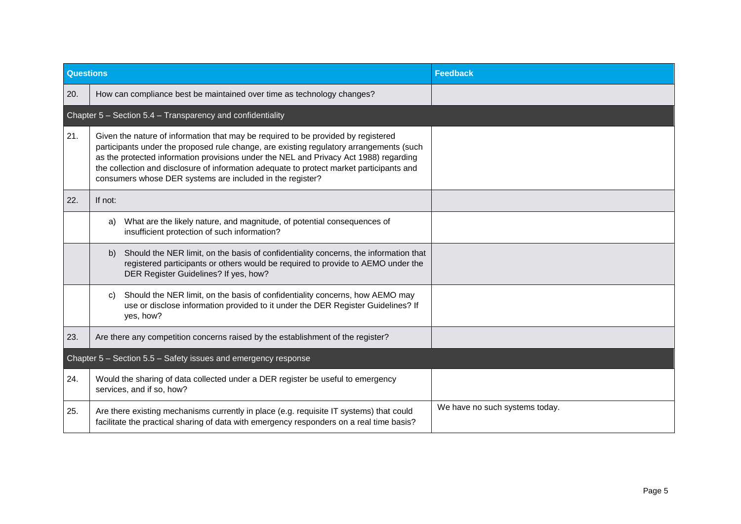| <b>Questions</b> |                                                                                                                                                                                                                                                                                                                                                                                                                                | <b>Feedback</b>                |
|------------------|--------------------------------------------------------------------------------------------------------------------------------------------------------------------------------------------------------------------------------------------------------------------------------------------------------------------------------------------------------------------------------------------------------------------------------|--------------------------------|
| 20.              | How can compliance best be maintained over time as technology changes?                                                                                                                                                                                                                                                                                                                                                         |                                |
|                  | Chapter 5 - Section 5.4 - Transparency and confidentiality                                                                                                                                                                                                                                                                                                                                                                     |                                |
| 21.              | Given the nature of information that may be required to be provided by registered<br>participants under the proposed rule change, are existing regulatory arrangements (such<br>as the protected information provisions under the NEL and Privacy Act 1988) regarding<br>the collection and disclosure of information adequate to protect market participants and<br>consumers whose DER systems are included in the register? |                                |
| 22.              | If not:                                                                                                                                                                                                                                                                                                                                                                                                                        |                                |
|                  | What are the likely nature, and magnitude, of potential consequences of<br>a)<br>insufficient protection of such information?                                                                                                                                                                                                                                                                                                  |                                |
|                  | Should the NER limit, on the basis of confidentiality concerns, the information that<br>b)<br>registered participants or others would be required to provide to AEMO under the<br>DER Register Guidelines? If yes, how?                                                                                                                                                                                                        |                                |
|                  | Should the NER limit, on the basis of confidentiality concerns, how AEMO may<br>C)<br>use or disclose information provided to it under the DER Register Guidelines? If<br>yes, how?                                                                                                                                                                                                                                            |                                |
| 23.              | Are there any competition concerns raised by the establishment of the register?                                                                                                                                                                                                                                                                                                                                                |                                |
|                  | Chapter 5 - Section 5.5 - Safety issues and emergency response                                                                                                                                                                                                                                                                                                                                                                 |                                |
| 24.              | Would the sharing of data collected under a DER register be useful to emergency<br>services, and if so, how?                                                                                                                                                                                                                                                                                                                   |                                |
| 25.              | Are there existing mechanisms currently in place (e.g. requisite IT systems) that could<br>facilitate the practical sharing of data with emergency responders on a real time basis?                                                                                                                                                                                                                                            | We have no such systems today. |